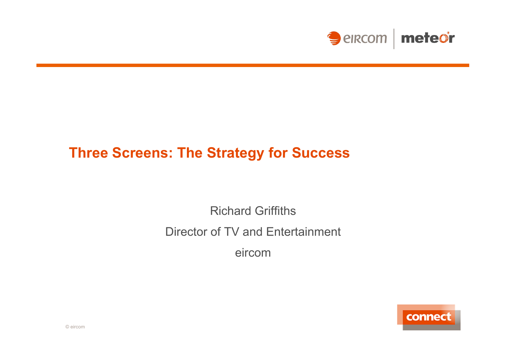

## **Three Screens: The Strategy for Success**

Richard Griffiths Director of TV and Entertainment eircom

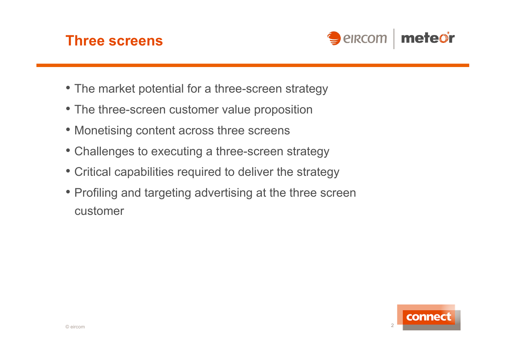### **Three screens**



- The market potential for a three-screen strategy
- The three-screen customer value proposition
- Monetising content across three screens
- Challenges to executing a three-screen strategy
- Critical capabilities required to deliver the strategy
- Profiling and targeting advertising at the three screen customer

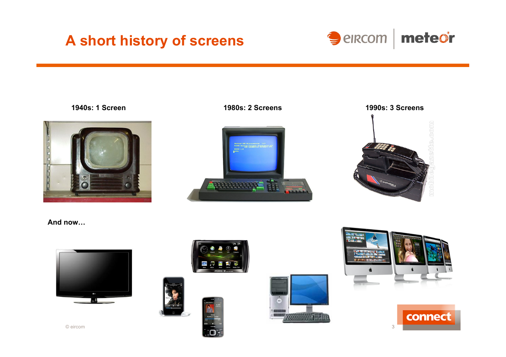# **A short history of screens**

Seircom | meteor









#### **And now…**



© eircom









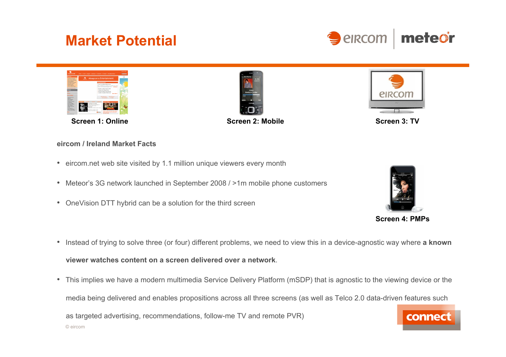# **Market Potential**





**Screen 1: Online Screen 2: Mobile Screen 2: Mobile Screen 3: TV** 





#### **eircom / Ireland Market Facts**

- eircom.net web site visited by 1.1 million unique viewers every month
- Meteor's 3G network launched in September 2008 / >1m mobile phone customers
- OneVision DTT hybrid can be a solution for the third screen



**Screen 4: PMPs** 

- Instead of trying to solve three (or four) different problems, we need to view this in a device-agnostic way where **a known viewer watches content on a screen delivered over a network**.
- This implies we have a modern multimedia Service Delivery Platform (mSDP) that is agnostic to the viewing device or the media being delivered and enables propositions across all three screens (as well as Telco 2.0 data-driven features such as targeted advertising, recommendations, follow-me TV and remote PVR) connect © eircom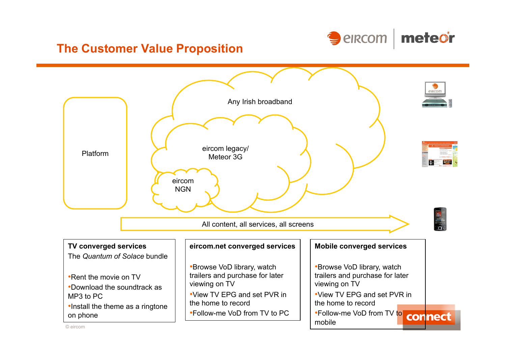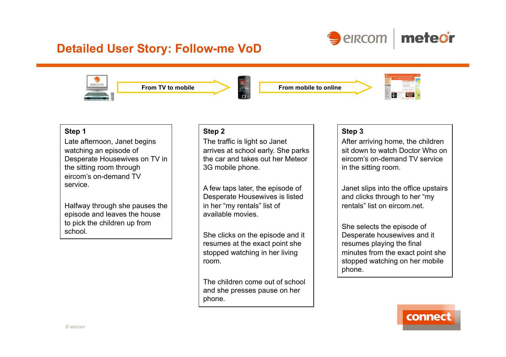

### **Detailed User Story: Follow-me VoD**



#### **Step 1**

Late afternoon, Janet begins watching an episode of Desperate Housewives on TV in the sitting room through eircom's on-demand TV service.

Halfway through she pauses the episode and leaves the house to pick the children up from school.

#### **Step 2**

The traffic is light so Janet arrives at school early. She parks the car and takes out her Meteor 3G mobile phone.

A few taps later, the episode of Desperate Housewives is listed in her "my rentals" list of available movies.

She clicks on the episode and it resumes at the exact point she stopped watching in her living room.

The children come out of school and she presses pause on her phone.

#### **Step 3**

After arriving home, the children sit down to watch Doctor Who on eircom's on-demand TV service in the sitting room.

Janet slips into the office upstairs and clicks through to her "my rentals" list on eircom net.

She selects the episode of Desperate housewives and it resumes playing the final minutes from the exact point she stopped watching on her mobile phone.

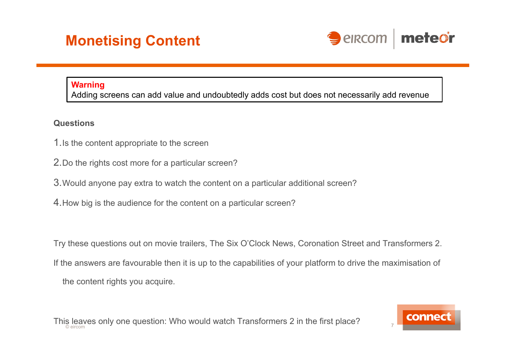

### **Warning**

Adding screens can add value and undoubtedly adds cost but does not necessarily add revenue

### **Questions**

- 1.Is the content appropriate to the screen
- 2.Do the rights cost more for a particular screen?
- 3.Would anyone pay extra to watch the content on a particular additional screen?
- 4.How big is the audience for the content on a particular screen?

Try these questions out on movie trailers, The Six O'Clock News, Coronation Street and Transformers 2.

If the answers are favourable then it is up to the capabilities of your platform to drive the maximisation of

the content rights you acquire.

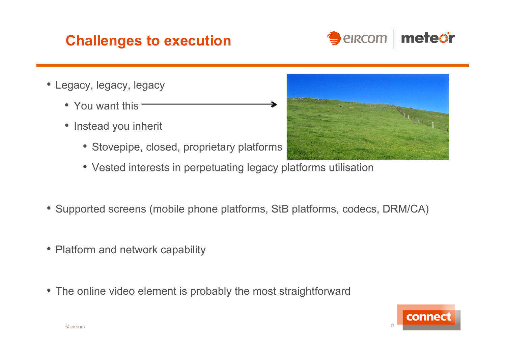## **Challenges to execution**



- Legacy, legacy, legacy
	- You want this =
	- Instead you inherit
		- Stovepipe, closed, proprietary platforms
		- Vested interests in perpetuating legacy platforms utilisation
- Supported screens (mobile phone platforms, StB platforms, codecs, DRM/CA)
- Platform and network capability
- The online video element is probably the most straightforward



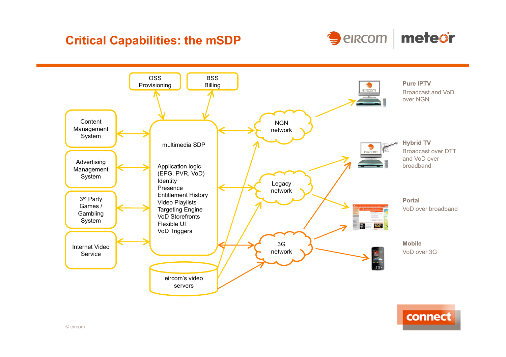### **Critical Capabilities: the mSDP**